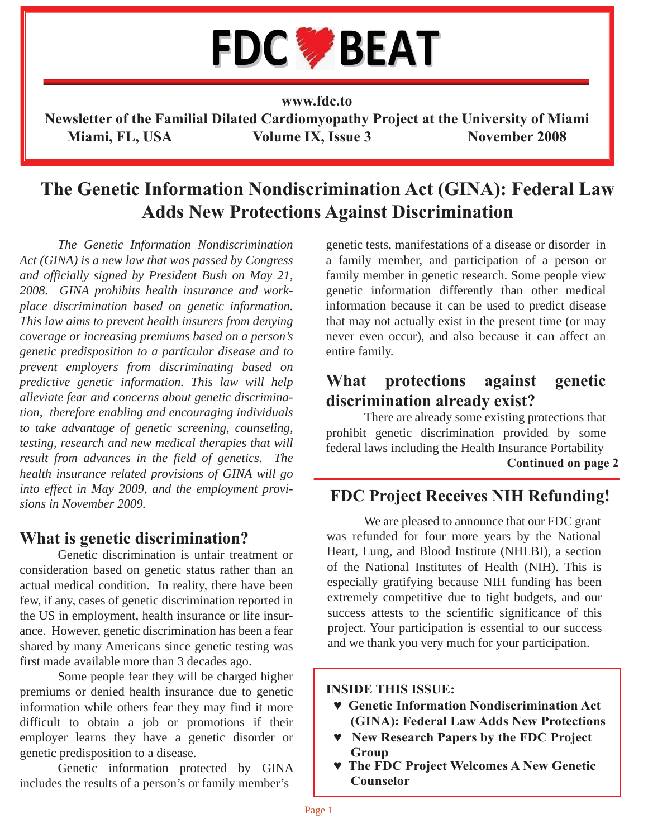

**www.fdc.to**

**Newsletter of the Familial Dilated Cardiomyopathy Project at the University of Miami** Miami, FL, USA Volume IX, Issue 3 November 2008

# **The Genetic Information Nondiscrimination Act (GINA): Federal Law Adds New Protections Against Discrimination**

*The Genetic Information Nondiscrimination Act (GINA) is a new law that was passed by Congress and officially signed by President Bush on May 21, 2008. GINA prohibits health insurance and workplace discrimination based on genetic information. This law aims to prevent health insurers from denying coverage or increasing premiums based on a person's genetic predisposition to a particular disease and to prevent employers from discriminating based on predictive genetic information. This law will help alleviate fear and concerns about genetic discrimination, therefore enabling and encouraging individuals to take advantage of genetic screening, counseling, testing, research and new medical therapies that will result from advances in the field of genetics. The health insurance related provisions of GINA will go into effect in May 2009, and the employment provisions in November 2009.* 

### **What is genetic discrimination?**

 Genetic discrimination is unfair treatment or consideration based on genetic status rather than an actual medical condition. In reality, there have been few, if any, cases of genetic discrimination reported in the US in employment, health insurance or life insurance. However, genetic discrimination has been a fear shared by many Americans since genetic testing was first made available more than 3 decades ago.

 Some people fear they will be charged higher premiums or denied health insurance due to genetic information while others fear they may find it more difficult to obtain a job or promotions if their employer learns they have a genetic disorder or genetic predisposition to a disease.

 Genetic information protected by GINA includes the results of a person's or family member's

genetic tests, manifestations of a disease or disorder in a family member, and participation of a person or family member in genetic research. Some people view genetic information differently than other medical information because it can be used to predict disease that may not actually exist in the present time (or may never even occur), and also because it can affect an entire family.

### **What protections against genetic discrimination already exist?**

 There are already some existing protections that prohibit genetic discrimination provided by some federal laws including the Health Insurance Portability **Continued on page 2**

## **FDC Project Receives NIH Refunding!**

 We are pleased to announce that our FDC grant was refunded for four more years by the National Heart, Lung, and Blood Institute (NHLBI), a section of the National Institutes of Health (NIH). This is especially gratifying because NIH funding has been extremely competitive due to tight budgets, and our success attests to the scientific significance of this project. Your participation is essential to our success and we thank you very much for your participation.

### **INSIDE THIS ISSUE:**

- **♥ Genetic Information Nondiscrimination Act (GINA): Federal Law Adds New Protections**
- **♥ New Research Papers by the FDC Project Group**
- **♥ The FDC Project Welcomes A New Genetic Counselor**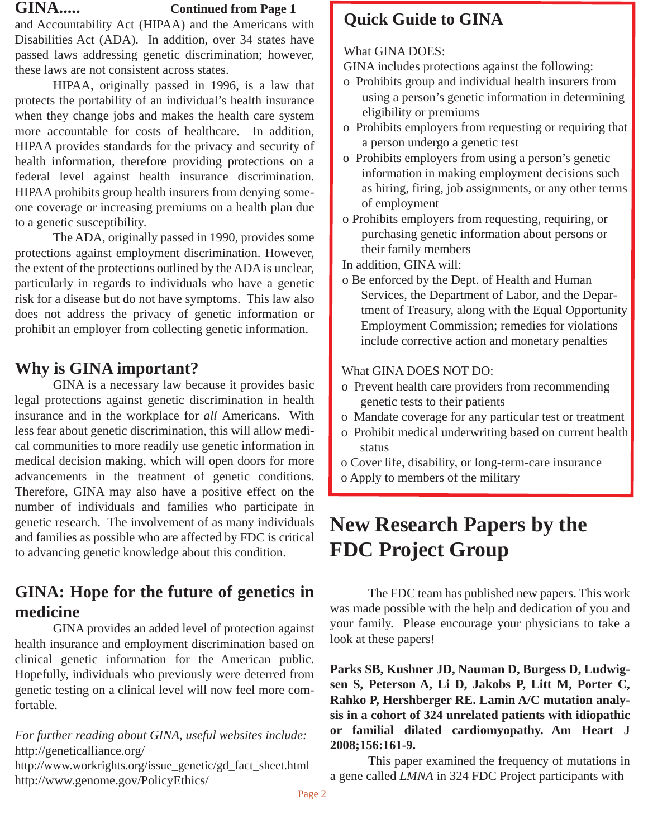### **GINA..... Continued from Page 1**

and Accountability Act (HIPAA) and the Americans with Disabilities Act (ADA). In addition, over 34 states have passed laws addressing genetic discrimination; however, these laws are not consistent across states.

 HIPAA, originally passed in 1996, is a law that protects the portability of an individual's health insurance when they change jobs and makes the health care system more accountable for costs of healthcare. In addition, HIPAA provides standards for the privacy and security of health information, therefore providing protections on a federal level against health insurance discrimination. HIPAA prohibits group health insurers from denying someone coverage or increasing premiums on a health plan due to a genetic susceptibility.

 The ADA, originally passed in 1990, provides some protections against employment discrimination. However, the extent of the protections outlined by the ADA is unclear, particularly in regards to individuals who have a genetic risk for a disease but do not have symptoms. This law also does not address the privacy of genetic information or prohibit an employer from collecting genetic information.

# **Why is GINA important?**

 GINA is a necessary law because it provides basic legal protections against genetic discrimination in health insurance and in the workplace for *all* Americans. With less fear about genetic discrimination, this will allow medical communities to more readily use genetic information in medical decision making, which will open doors for more advancements in the treatment of genetic conditions. Therefore, GINA may also have a positive effect on the number of individuals and families who participate in genetic research. The involvement of as many individuals and families as possible who are affected by FDC is critical to advancing genetic knowledge about this condition.

# **GINA: Hope for the future of genetics in medicine**

 GINA provides an added level of protection against health insurance and employment discrimination based on clinical genetic information for the American public. Hopefully, individuals who previously were deterred from genetic testing on a clinical level will now feel more comfortable.

*For further reading about GINA, useful websites include:* http://geneticalliance.org/

http://www.workrights.org/issue\_genetic/gd\_fact\_sheet.html http://www.genome.gov/PolicyEthics/

# **Quick Guide to GINA**

### What GINA DOES:

GINA includes protections against the following:

- o Prohibits group and individual health insurers from using a person's genetic information in determining eligibility or premiums
- o Prohibits employers from requesting or requiring that a person undergo a genetic test
- o Prohibits employers from using a person's genetic information in making employment decisions such as hiring, firing, job assignments, or any other terms of employment
- o Prohibits employers from requesting, requiring, or purchasing genetic information about persons or their family members

In addition, GINA will:

o Be enforced by the Dept. of Health and Human Services, the Department of Labor, and the Depar tment of Treasury, along with the Equal Opportunity Employment Commission; remedies for violations include corrective action and monetary penalties

### What GINA DOES NOT DO:

- o Prevent health care providers from recommending genetic tests to their patients
- o Mandate coverage for any particular test or treatment
- o Prohibit medical underwriting based on current health status
- o Cover life, disability, or long-term-care insurance
- o Apply to members of the military

# **New Research Papers by the FDC Project Group**

 The FDC team has published new papers. This work was made possible with the help and dedication of you and your family. Please encourage your physicians to take a look at these papers!

**Parks SB, Kushner JD, Nauman D, Burgess D, Ludwigsen S, Peterson A, Li D, Jakobs P, Litt M, Porter C, Rahko P, Hershberger RE. Lamin A/C mutation analysis in a cohort of 324 unrelated patients with idiopathic or familial dilated cardiomyopathy. Am Heart J 2008;156:161-9.**

 This paper examined the frequency of mutations in a gene called *LMNA* in 324 FDC Project participants with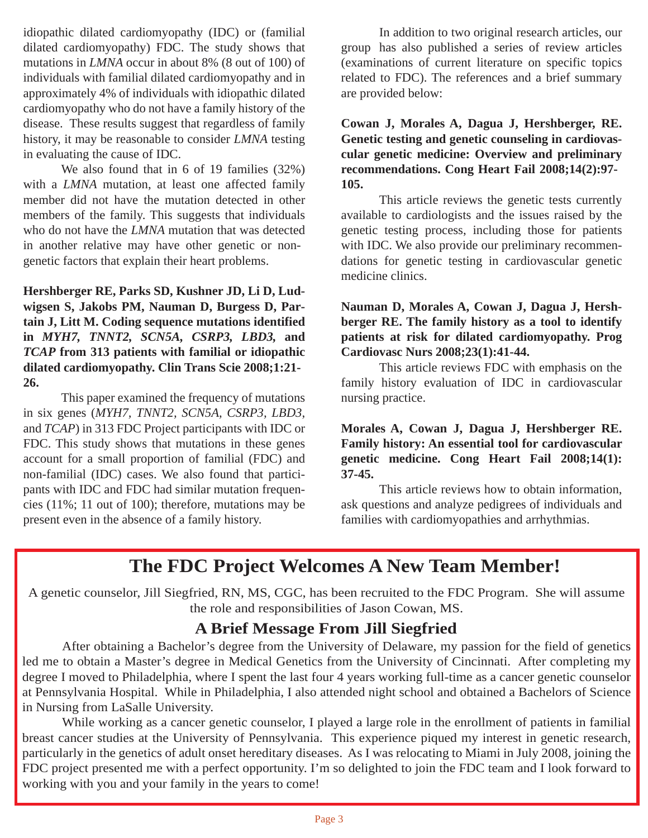idiopathic dilated cardiomyopathy (IDC) or (familial dilated cardiomyopathy) FDC. The study shows that mutations in *LMNA* occur in about 8% (8 out of 100) of individuals with familial dilated cardiomyopathy and in approximately 4% of individuals with idiopathic dilated cardiomyopathy who do not have a family history of the disease. These results suggest that regardless of family history, it may be reasonable to consider *LMNA* testing in evaluating the cause of IDC.

 We also found that in 6 of 19 families (32%) with a *LMNA* mutation, at least one affected family member did not have the mutation detected in other members of the family. This suggests that individuals who do not have the *LMNA* mutation that was detected in another relative may have other genetic or nongenetic factors that explain their heart problems.

**Hershberger RE, Parks SD, Kushner JD, Li D, Ludwigsen S, Jakobs PM, Nauman D, Burgess D, Partain J, Litt M. Coding sequence mutations identified in** *MYH7, TNNT2, SCN5A, CSRP3, LBD3,* **and** *TCAP* **from 313 patients with familial or idiopathic dilated cardiomyopathy. Clin Trans Scie 2008;1:21- 26.** 

 This paper examined the frequency of mutations in six genes (*MYH7, TNNT2, SCN5A, CSRP3, LBD3*, and *TCAP*) in 313 FDC Project participants with IDC or FDC. This study shows that mutations in these genes account for a small proportion of familial (FDC) and non-familial (IDC) cases. We also found that participants with IDC and FDC had similar mutation frequencies (11%; 11 out of 100); therefore, mutations may be present even in the absence of a family history.

 In addition to two original research articles, our group has also published a series of review articles (examinations of current literature on specific topics related to FDC). The references and a brief summary are provided below:

**Cowan J, Morales A, Dagua J, Hershberger, RE. Genetic testing and genetic counseling in cardiovascular genetic medicine: Overview and preliminary recommendations. Cong Heart Fail 2008;14(2):97- 105.** 

 This article reviews the genetic tests currently available to cardiologists and the issues raised by the genetic testing process, including those for patients with IDC. We also provide our preliminary recommendations for genetic testing in cardiovascular genetic medicine clinics.

### **Nauman D, Morales A, Cowan J, Dagua J, Hershberger RE. The family history as a tool to identify patients at risk for dilated cardiomyopathy. Prog Cardiovasc Nurs 2008;23(1):41-44.**

 This article reviews FDC with emphasis on the family history evaluation of IDC in cardiovascular nursing practice.

### **Morales A, Cowan J, Dagua J, Hershberger RE. Family history: An essential tool for cardiovascular genetic medicine. Cong Heart Fail 2008;14(1): 37-45.**

 This article reviews how to obtain information, ask questions and analyze pedigrees of individuals and families with cardiomyopathies and arrhythmias.

# **The FDC Project Welcomes A New Team Member!**

A genetic counselor, Jill Siegfried, RN, MS, CGC, has been recruited to the FDC Program. She will assume the role and responsibilities of Jason Cowan, MS.

### **A Brief Message From Jill Siegfried**

 After obtaining a Bachelor's degree from the University of Delaware, my passion for the field of genetics led me to obtain a Master's degree in Medical Genetics from the University of Cincinnati. After completing my degree I moved to Philadelphia, where I spent the last four 4 years working full-time as a cancer genetic counselor at Pennsylvania Hospital. While in Philadelphia, I also attended night school and obtained a Bachelors of Science in Nursing from LaSalle University.

 While working as a cancer genetic counselor, I played a large role in the enrollment of patients in familial breast cancer studies at the University of Pennsylvania. This experience piqued my interest in genetic research, particularly in the genetics of adult onset hereditary diseases. As I was relocating to Miami in July 2008, joining the FDC project presented me with a perfect opportunity. I'm so delighted to join the FDC team and I look forward to working with you and your family in the years to come!